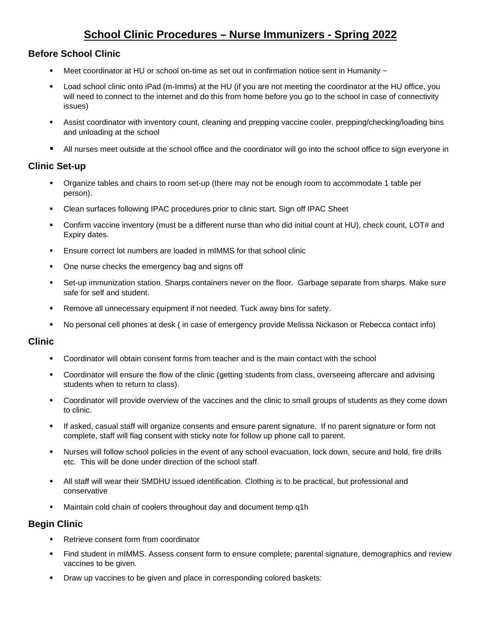# **School Clinic Procedures – Nurse Immunizers - Spring 2022**

# **Before School Clinic**

- Meet coordinator at HU or school on-time as set out in confirmation notice sent in Humanity  $\sim$
- Load school clinic onto iPad (m-Imms) at the HU (if you are not meeting the coordinator at the HU office, you will need to connect to the internet and do this from home before you go to the school in case of connectivity issues)
- Assist coordinator with inventory count, cleaning and prepping vaccine cooler, prepping/checking/loading bins and unloading at the school
- All nurses meet outside at the school office and the coordinator will go into the school office to sign everyone in

# **Clinic Set-up**

- Organize tables and chairs to room set-up (there may not be enough room to accommodate 1 table per person).
- Clean surfaces following IPAC procedures prior to clinic start. Sign off IPAC Sheet
- Confirm vaccine inventory (must be a different nurse than who did initial count at HU), check count, LOT# and Expiry dates.
- Ensure correct lot numbers are loaded in mIMMS for that school clinic
- One nurse checks the emergency bag and signs off
- Set-up immunization station. Sharps containers never on the floor. Garbage separate from sharps. Make sure safe for self and student.
- Remove all unnecessary equipment if not needed. Tuck away bins for safety.
- No personal cell phones at desk ( in case of emergency provide Melissa Nickason or Rebecca contact info)

### **Clinic**

- Coordinator will obtain consent forms from teacher and is the main contact with the school
- Coordinator will ensure the flow of the clinic (getting students from class, overseeing aftercare and advising students when to return to class).
- Coordinator will provide overview of the vaccines and the clinic to small groups of students as they come down to clinic.
- If asked, casual staff will organize consents and ensure parent signature. If no parent signature or form not complete, staff will flag consent with sticky note for follow up phone call to parent.
- Nurses will follow school policies in the event of any school evacuation, lock down, secure and hold, fire drills etc. This will be done under direction of the school staff.
- All staff will wear their SMDHU issued identification. Clothing is to be practical, but professional and conservative
- Maintain cold chain of coolers throughout day and document temp q1h

# **Begin Clinic**

- Retrieve consent form from coordinator
- Find student in mIMMS. Assess consent form to ensure complete; parental signature, demographics and review vaccines to be given.
- **Draw up vaccines to be given and place in corresponding colored baskets:**